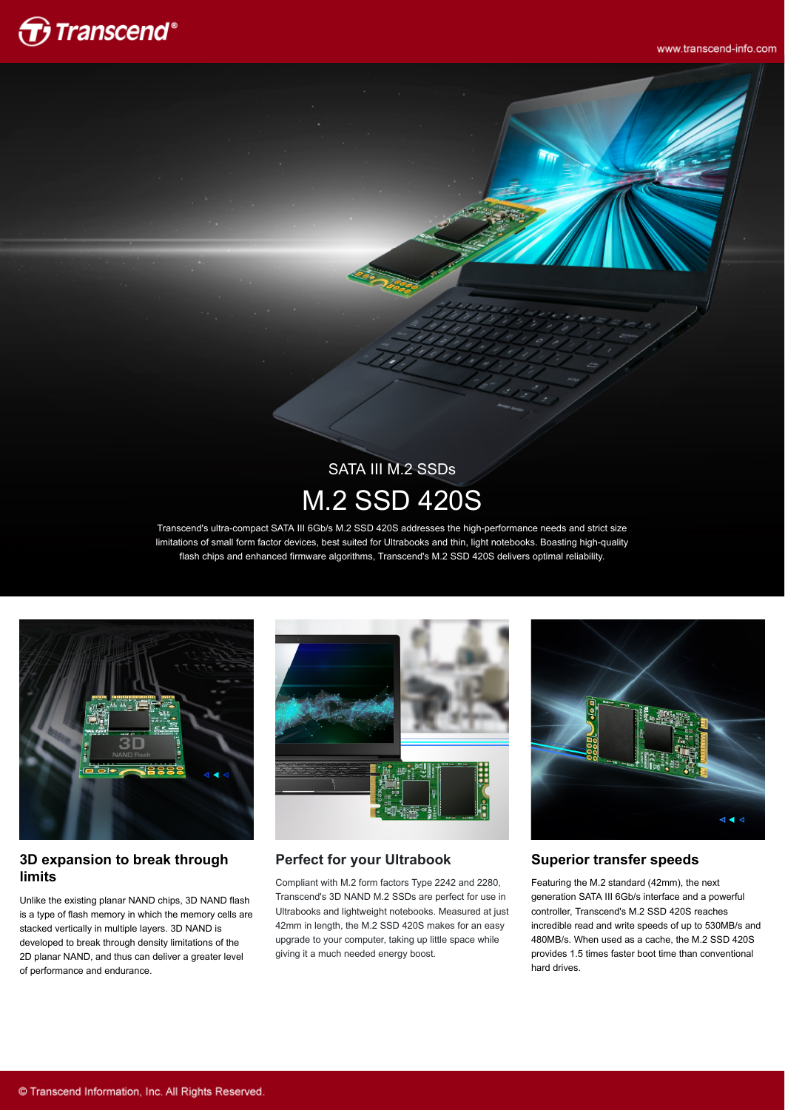

www.transcend-info.com

# SATA III M.2 SSDs M.2 SSD 420S

Transcend's ultra-compact SATA III 6Gb/s M.2 SSD 420S addresses the high-performance needs and strict size limitations of small form factor devices, best suited for Ultrabooks and thin, light notebooks. Boasting high-quality flash chips and enhanced firmware algorithms, Transcend's M.2 SSD 420S delivers optimal reliability.



#### **3D expansion to break through limits**

Unlike the existing planar NAND chips, 3D NAND flash is a type of flash memory in which the memory cells are stacked vertically in multiple layers. 3D NAND is developed to break through density limitations of the 2D planar NAND, and thus can deliver a greater level of performance and endurance.



#### **Perfect for your Ultrabook**

Compliant with M.2 form factors Type 2242 and 2280, Transcend's 3D NAND M.2 SSDs are perfect for use in Ultrabooks and lightweight notebooks. Measured at just 42mm in length, the M.2 SSD 420S makes for an easy upgrade to your computer, taking up little space while giving it a much needed energy boost.



#### **Superior transfer speeds**

Featuring the M.2 standard (42mm), the next generation SATA III 6Gb/s interface and a powerful controller, Transcend's M.2 SSD 420S reaches incredible read and write speeds of up to 530MB/s and 480MB/s. When used as a cache, the M.2 SSD 420S provides 1.5 times faster boot time than conventional hard drives.